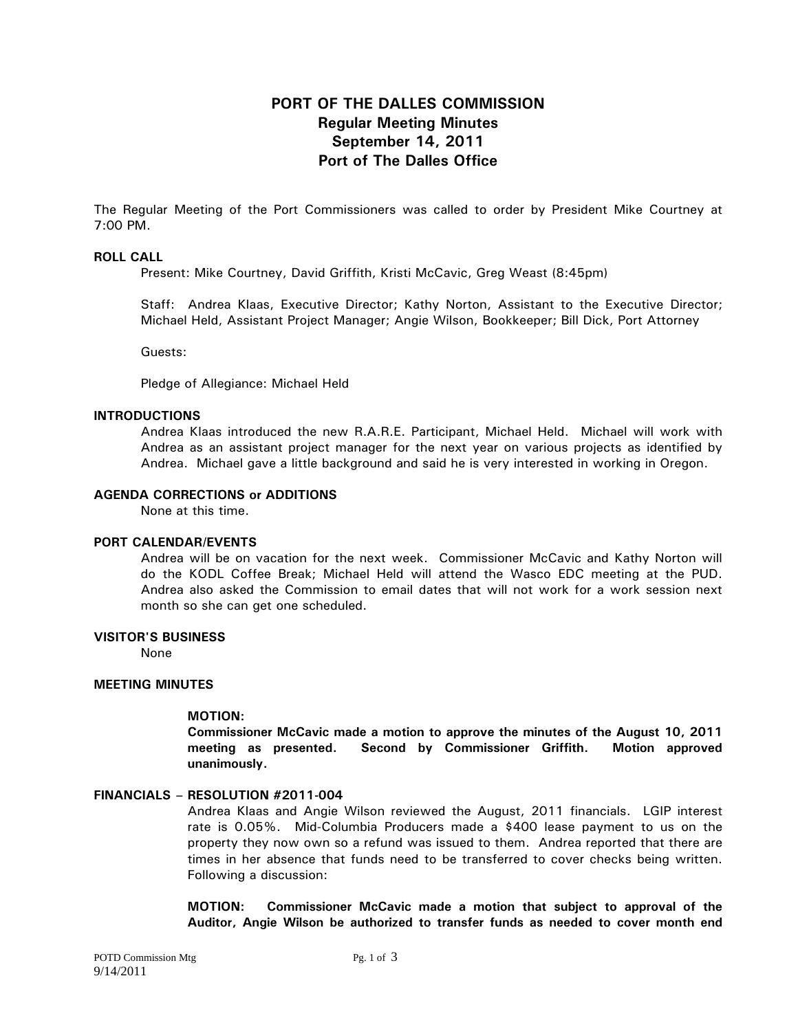# **PORT OF THE DALLES COMMISSION Regular Meeting Minutes September 14, 2011 Port of The Dalles Office**

The Regular Meeting of the Port Commissioners was called to order by President Mike Courtney at 7:00 PM.

## **ROLL CALL**

Present: Mike Courtney, David Griffith, Kristi McCavic, Greg Weast (8:45pm)

Staff: Andrea Klaas, Executive Director; Kathy Norton, Assistant to the Executive Director; Michael Held, Assistant Project Manager; Angie Wilson, Bookkeeper; Bill Dick, Port Attorney

Guests:

Pledge of Allegiance: Michael Held

### **INTRODUCTIONS**

Andrea Klaas introduced the new R.A.R.E. Participant, Michael Held. Michael will work with Andrea as an assistant project manager for the next year on various projects as identified by Andrea. Michael gave a little background and said he is very interested in working in Oregon.

#### **AGENDA CORRECTIONS or ADDITIONS**

None at this time.

### **PORT CALENDAR/EVENTS**

Andrea will be on vacation for the next week. Commissioner McCavic and Kathy Norton will do the KODL Coffee Break; Michael Held will attend the Wasco EDC meeting at the PUD. Andrea also asked the Commission to email dates that will not work for a work session next month so she can get one scheduled.

# **VISITOR'S BUSINESS**

None

### **MEETING MINUTES**

## **MOTION:**

**Commissioner McCavic made a motion to approve the minutes of the August 10, 2011 meeting as presented. Second by Commissioner Griffith. Motion approved unanimously.** 

#### **FINANCIALS – RESOLUTION #2011-004**

Andrea Klaas and Angie Wilson reviewed the August, 2011 financials. LGIP interest rate is 0.05%. Mid-Columbia Producers made a \$400 lease payment to us on the property they now own so a refund was issued to them. Andrea reported that there are times in her absence that funds need to be transferred to cover checks being written. Following a discussion:

**MOTION: Commissioner McCavic made a motion that subject to approval of the Auditor, Angie Wilson be authorized to transfer funds as needed to cover month end**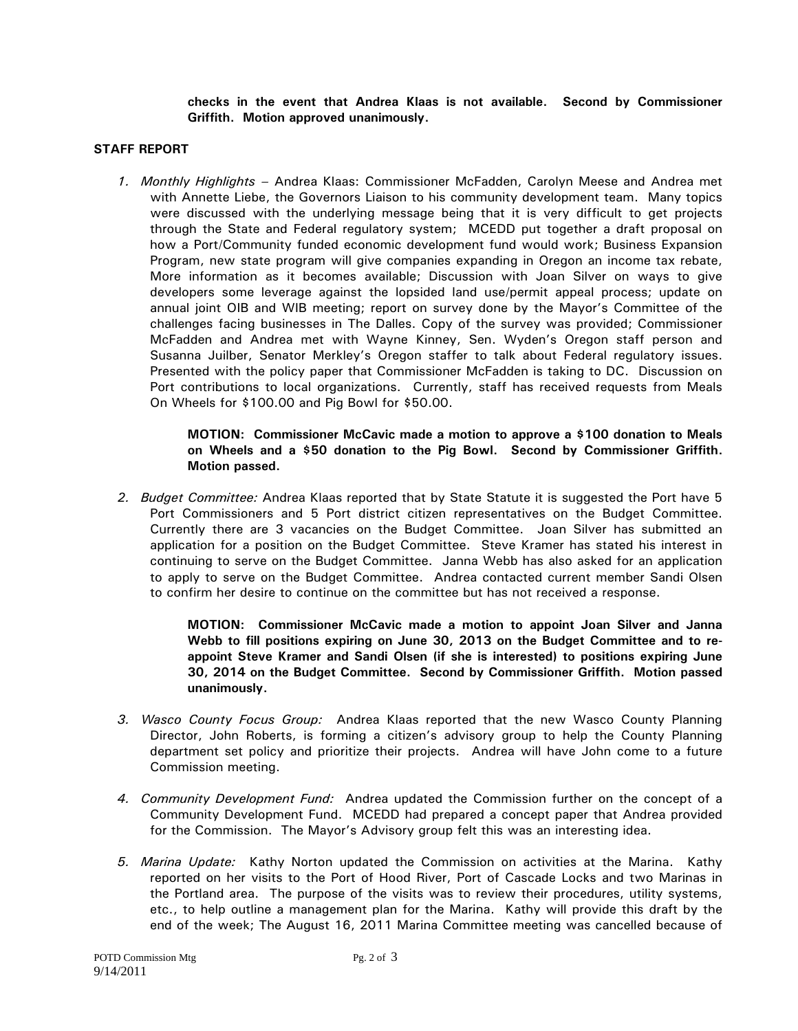**checks in the event that Andrea Klaas is not available. Second by Commissioner Griffith. Motion approved unanimously.** 

# **STAFF REPORT**

*1. Monthly Highlights –* Andrea Klaas: Commissioner McFadden, Carolyn Meese and Andrea met with Annette Liebe, the Governors Liaison to his community development team. Many topics were discussed with the underlying message being that it is very difficult to get projects through the State and Federal regulatory system; MCEDD put together a draft proposal on how a Port/Community funded economic development fund would work; Business Expansion Program, new state program will give companies expanding in Oregon an income tax rebate, More information as it becomes available; Discussion with Joan Silver on ways to give developers some leverage against the lopsided land use/permit appeal process; update on annual joint OIB and WIB meeting; report on survey done by the Mayor's Committee of the challenges facing businesses in The Dalles. Copy of the survey was provided; Commissioner McFadden and Andrea met with Wayne Kinney, Sen. Wyden's Oregon staff person and Susanna Juilber, Senator Merkley's Oregon staffer to talk about Federal regulatory issues. Presented with the policy paper that Commissioner McFadden is taking to DC. Discussion on Port contributions to local organizations. Currently, staff has received requests from Meals On Wheels for \$100.00 and Pig Bowl for \$50.00.

> **MOTION: Commissioner McCavic made a motion to approve a \$100 donation to Meals on Wheels and a \$50 donation to the Pig Bowl. Second by Commissioner Griffith. Motion passed.**

*2. Budget Committee:* Andrea Klaas reported that by State Statute it is suggested the Port have 5 Port Commissioners and 5 Port district citizen representatives on the Budget Committee. Currently there are 3 vacancies on the Budget Committee. Joan Silver has submitted an application for a position on the Budget Committee. Steve Kramer has stated his interest in continuing to serve on the Budget Committee. Janna Webb has also asked for an application to apply to serve on the Budget Committee. Andrea contacted current member Sandi Olsen to confirm her desire to continue on the committee but has not received a response.

> **MOTION: Commissioner McCavic made a motion to appoint Joan Silver and Janna Webb to fill positions expiring on June 30, 2013 on the Budget Committee and to reappoint Steve Kramer and Sandi Olsen (if she is interested) to positions expiring June 30, 2014 on the Budget Committee. Second by Commissioner Griffith. Motion passed unanimously.**

- *3. Wasco County Focus Group:* Andrea Klaas reported that the new Wasco County Planning Director, John Roberts, is forming a citizen's advisory group to help the County Planning department set policy and prioritize their projects. Andrea will have John come to a future Commission meeting.
- *4. Community Development Fund:* Andrea updated the Commission further on the concept of a Community Development Fund. MCEDD had prepared a concept paper that Andrea provided for the Commission. The Mayor's Advisory group felt this was an interesting idea.
- *5. Marina Update:* Kathy Norton updated the Commission on activities at the Marina. Kathy reported on her visits to the Port of Hood River, Port of Cascade Locks and two Marinas in the Portland area.The purpose of the visits was to review their procedures, utility systems, etc., to help outline a management plan for the Marina. Kathy will provide this draft by the end of the week; The August 16, 2011 Marina Committee meeting was cancelled because of